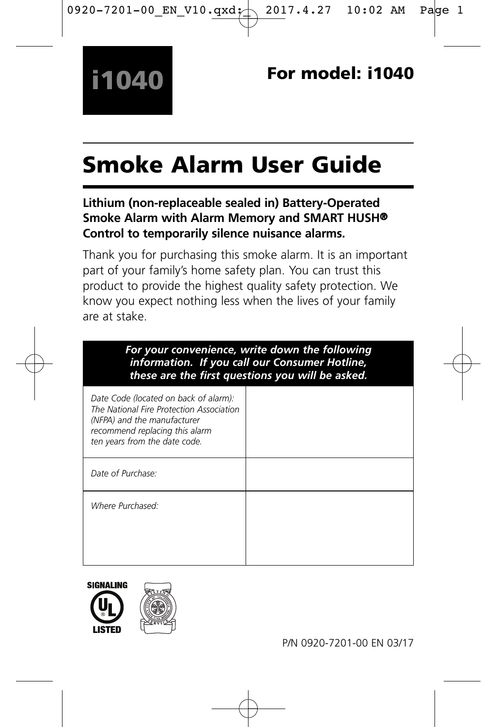# Smoke Alarm User Guide

#### **Lithium (non-replaceable sealed in) Battery-Operated Smoke Alarm with Alarm Memory and SMART HUSH® Control to temporarily silence nuisance alarms.**

Thank you for purchasing this smoke alarm. It is an important part of your family's home safety plan. You can trust this product to provide the highest quality safety protection. We know you expect nothing less when the lives of your family are at stake.

| For your convenience, write down the following<br>information. If you call our Consumer Hotline,<br>these are the first questions you will be asked.                                |  |
|-------------------------------------------------------------------------------------------------------------------------------------------------------------------------------------|--|
| Date Code (located on back of alarm):<br>The National Fire Protection Association<br>(NFPA) and the manufacturer<br>recommend replacing this alarm<br>ten years from the date code. |  |
| Date of Purchase:                                                                                                                                                                   |  |
| Where Purchased:                                                                                                                                                                    |  |



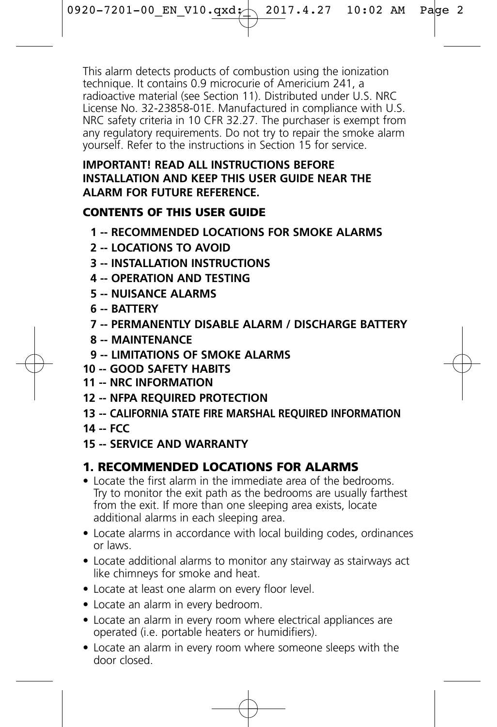This alarm detects products of combustion using the ionization technique. It contains 0.9 microcurie of Americium 241, a radioactive material (see Section 11). Distributed under U.S. NRC License No. 32-23858-01E. Manufactured in compliance with U.S. NRC safety criteria in 10 CFR 32.27. The purchaser is exempt from any regulatory requirements. Do not try to repair the smoke alarm yourself. Refer to the instructions in Section 15 for service.

#### **IMPORTANT! READ ALL INSTRUCTIONS BEFORE INSTALLATION AND KEEP THIS USER GUIDE NEAR THE ALARM FOR FUTURE REFERENCE.**

#### CONTENTS OF THIS USER GUIDE

- **1 -- RECOMMENDED LOCATIONS FOR SMOKE ALARMS**
- **2 -- LOCATIONS TO AVOID**
- **3 -- INSTALLATION INSTRUCTIONS**
- **4 -- OPERATION AND TESTING**
- **5 -- NUISANCE ALARMS**
- **6 -- BATTERY**
- **7 -- PERMANENTLY DISABLE ALARM / DISCHARGE BATTERY**
- **8 -- MAINTENANCE**
- **9 -- LIMITATIONS OF SMOKE ALARMS**
- **10 -- GOOD SAFETY HABITS**
- **11 -- NRC INFORMATION**
- **12 -- NFPA REQUIRED PROTECTION**
- **13 -- CALIFORNIA STATE FIRE MARSHAL REQUIRED INFORMATION**
- **14 -- FCC**
- **15 -- SERVICE AND WARRANTY**

# 1. RECOMMENDED LOCATIONS FOR ALARMS

- Locate the first alarm in the immediate area of the bedrooms. Try to monitor the exit path as the bedrooms are usually farthest from the exit. If more than one sleeping area exists, locate additional alarms in each sleeping area.
- Locate alarms in accordance with local building codes, ordinances or laws.
- Locate additional alarms to monitor any stairway as stairways act like chimneys for smoke and heat.
- Locate at least one alarm on every floor level.
- Locate an alarm in every bedroom.
- Locate an alarm in every room where electrical appliances are operated (i.e. portable heaters or humidifiers).
- Locate an alarm in every room where someone sleeps with the door closed.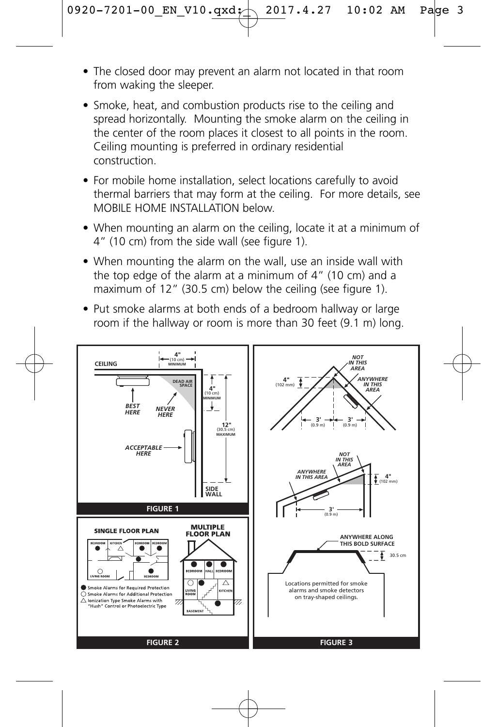- The closed door may prevent an alarm not located in that room from waking the sleeper.
- Smoke, heat, and combustion products rise to the ceiling and spread horizontally. Mounting the smoke alarm on the ceiling in the center of the room places it closest to all points in the room. Ceiling mounting is preferred in ordinary residential construction.
- For mobile home installation, select locations carefully to avoid thermal barriers that may form at the ceiling. For more details, see MOBILE HOME INSTALLATION below
- When mounting an alarm on the ceiling, locate it at a minimum of 4" (10 cm) from the side wall (see figure 1).
- When mounting the alarm on the wall, use an inside wall with the top edge of the alarm at a minimum of 4" (10 cm) and a maximum of 12" (30.5 cm) below the ceiling (see figure 1).
- Put smoke alarms at both ends of a bedroom hallway or large room if the hallway or room is more than 30 feet (9.1 m) long.

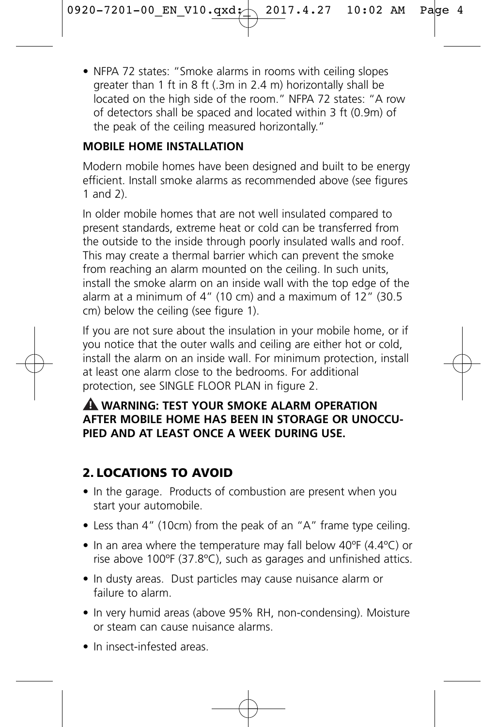• NFPA 72 states: "Smoke alarms in rooms with ceiling slopes greater than 1 ft in 8 ft (.3m in 2.4 m) horizontally shall be located on the high side of the room." NFPA 72 states: "A row of detectors shall be spaced and located within 3 ft (0.9m) of the peak of the ceiling measured horizontally."

#### **MOBILE HOME INSTALLATION**

Modern mobile homes have been designed and built to be energy efficient. Install smoke alarms as recommended above (see figures 1 and 2).

In older mobile homes that are not well insulated compared to present standards, extreme heat or cold can be transferred from the outside to the inside through poorly insulated walls and roof. This may create a thermal barrier which can prevent the smoke from reaching an alarm mounted on the ceiling. In such units, install the smoke alarm on an inside wall with the top edge of the alarm at a minimum of 4" (10 cm) and a maximum of 12" (30.5 cm) below the ceiling (see figure 1).

If you are not sure about the insulation in your mobile home, or if you notice that the outer walls and ceiling are either hot or cold, install the alarm on an inside wall. For minimum protection, install at least one alarm close to the bedrooms. For additional protection, see SINGLE FLOOR PLAN in figure 2.

#### **WARNING: TEST YOUR SMOKE ALARM OPERATION ! AFTER MOBILE HOME HAS BEEN IN STORAGE OR UNOCCU-PIED AND AT LEAST ONCE A WEEK DURING USE.**

# 2. LOCATIONS TO AVOID

- In the garage. Products of combustion are present when you start your automobile.
- Less than 4" (10cm) from the peak of an "A" frame type ceiling.
- In an area where the temperature may fall below 40ºF (4.4ºC) or rise above 100ºF (37.8ºC), such as garages and unfinished attics.
- In dusty areas. Dust particles may cause nuisance alarm or failure to alarm.
- In very humid areas (above 95% RH, non-condensing). Moisture or steam can cause nuisance alarms.
- In insect-infested areas.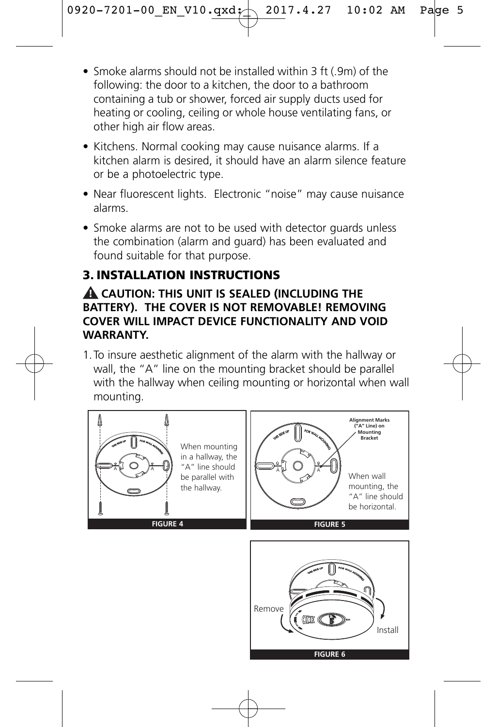- Smoke alarms should not be installed within 3 ft (.9m) of the following: the door to a kitchen, the door to a bathroom containing a tub or shower, forced air supply ducts used for heating or cooling, ceiling or whole house ventilating fans, or other high air flow areas.
- Kitchens. Normal cooking may cause nuisance alarms. If a kitchen alarm is desired, it should have an alarm silence feature or be a photoelectric type.
- Near fluorescent lights. Electronic "noise" may cause nuisance alarms.
- Smoke alarms are not to be used with detector quards unless the combination (alarm and guard) has been evaluated and found suitable for that purpose.

# 3. INSTALLATION INSTRUCTIONS

#### **CAUTION: THIS UNIT IS SEALED (INCLUDING THE ! BATTERY). THE COVER IS NOT REMOVABLE! REMOVING COVER WILL IMPACT DEVICE FUNCTIONALITY AND VOID WARRANTY.**

1.To insure aesthetic alignment of the alarm with the hallway or wall, the "A" line on the mounting bracket should be parallel with the hallway when ceiling mounting or horizontal when wall mounting.

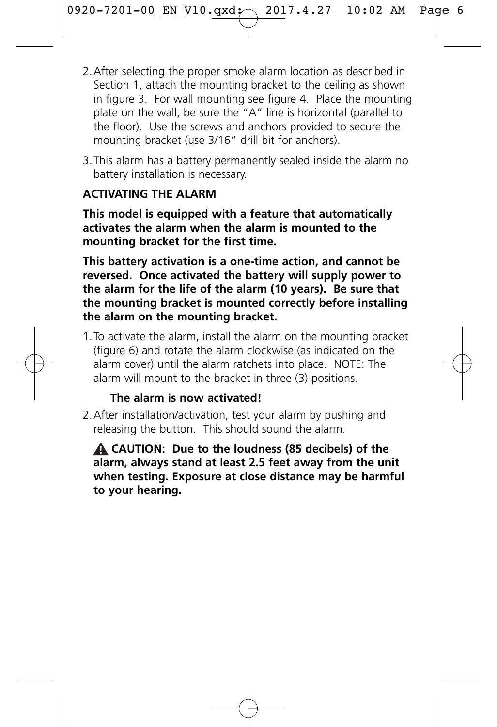- 2.After selecting the proper smoke alarm location as described in Section 1, attach the mounting bracket to the ceiling as shown in figure 3. For wall mounting see figure 4. Place the mounting plate on the wall; be sure the "A" line is horizontal (parallel to the floor). Use the screws and anchors provided to secure the mounting bracket (use 3/16" drill bit for anchors).
- 3.This alarm has a battery permanently sealed inside the alarm no battery installation is necessary.

#### **ACTIVATING THE ALARM**

**This model is equipped with a feature that automatically activates the alarm when the alarm is mounted to the mounting bracket for the first time.** 

**This battery activation is a one-time action, and cannot be reversed. Once activated the battery will supply power to the alarm for the life of the alarm (10 years). Be sure that the mounting bracket is mounted correctly before installing the alarm on the mounting bracket.**

1.To activate the alarm, install the alarm on the mounting bracket (figure 6) and rotate the alarm clockwise (as indicated on the alarm cover) until the alarm ratchets into place. NOTE: The alarm will mount to the bracket in three (3) positions.

#### **The alarm is now activated!**

2.After installation/activation, test your alarm by pushing and releasing the button. This should sound the alarm.

**CAUTION: Due to the loudness (85 decibels) of the ! alarm, always stand at least 2.5 feet away from the unit when testing. Exposure at close distance may be harmful to your hearing.**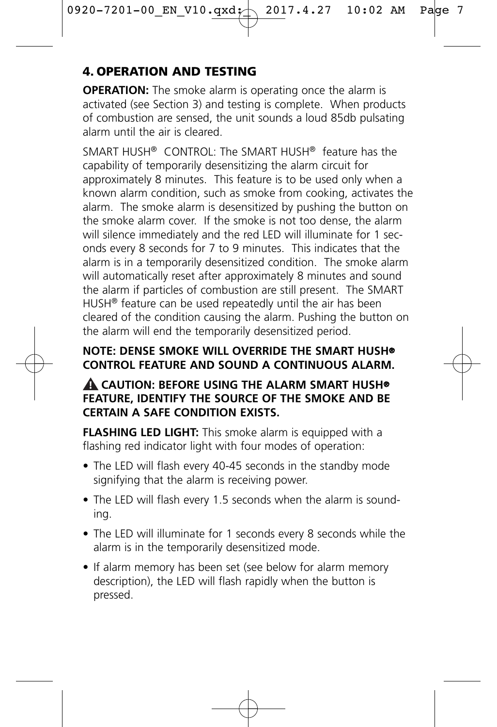# 4. OPERATION AND TESTING

**OPERATION:** The smoke alarm is operating once the alarm is activated (see Section 3) and testing is complete. When products of combustion are sensed, the unit sounds a loud 85db pulsating alarm until the air is cleared.

SMART HUSH® CONTROL: The SMART HUSH® feature has the capability of temporarily desensitizing the alarm circuit for approximately 8 minutes. This feature is to be used only when a known alarm condition, such as smoke from cooking, activates the alarm. The smoke alarm is desensitized by pushing the button on the smoke alarm cover. If the smoke is not too dense, the alarm will silence immediately and the red LED will illuminate for 1 seconds every 8 seconds for 7 to 9 minutes. This indicates that the alarm is in a temporarily desensitized condition. The smoke alarm will automatically reset after approximately 8 minutes and sound the alarm if particles of combustion are still present. The SMART HUSH® feature can be used repeatedly until the air has been cleared of the condition causing the alarm. Pushing the button on the alarm will end the temporarily desensitized period.

#### **NOTE: DENSE SMOKE WILL OVERRIDE THE SMART HUSH® CONTROL FEATURE AND SOUND A CONTINUOUS ALARM.**

#### **CAUTION: BEFORE USING THE ALARM SMART HUSH® ! FEATURE, IDENTIFY THE SOURCE OF THE SMOKE AND BE CERTAIN A SAFE CONDITION EXISTS.**

**FLASHING LED LIGHT:** This smoke alarm is equipped with a flashing red indicator light with four modes of operation:

- The LED will flash every 40-45 seconds in the standby mode signifying that the alarm is receiving power.
- The LED will flash every 1.5 seconds when the alarm is sounding.
- The LED will illuminate for 1 seconds every 8 seconds while the alarm is in the temporarily desensitized mode.
- If alarm memory has been set (see below for alarm memory description), the LED will flash rapidly when the button is pressed.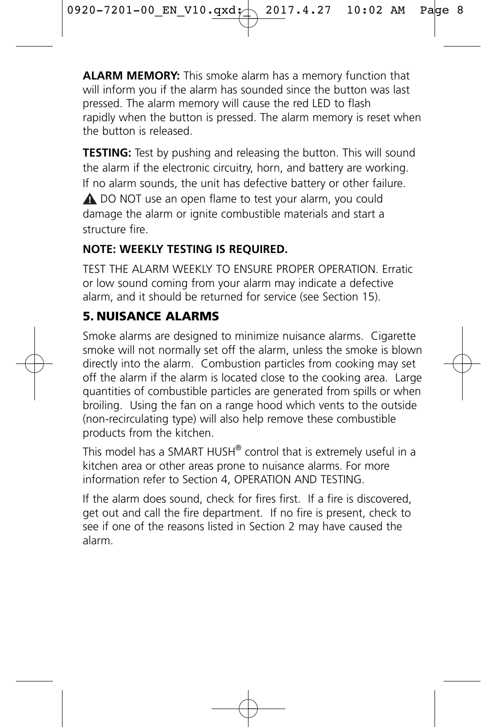**ALARM MEMORY:** This smoke alarm has a memory function that will inform you if the alarm has sounded since the button was last pressed. The alarm memory will cause the red LED to flash rapidly when the button is pressed. The alarm memory is reset when the button is released.

**TESTING:** Test by pushing and releasing the button. This will sound the alarm if the electronic circuitry, horn, and battery are working. If no alarm sounds, the unit has defective battery or other failure. DO NOT use an open flame to test your alarm, you could **!** damage the alarm or ignite combustible materials and start a structure fire.

#### **NOTE: WEEKLY TESTING IS REQUIRED.**

TEST THE ALARM WEEKLY TO ENSURE PROPER OPERATION. Erratic or low sound coming from your alarm may indicate a defective alarm, and it should be returned for service (see Section 15).

# 5. NUISANCE ALARMS

Smoke alarms are designed to minimize nuisance alarms. Cigarette smoke will not normally set off the alarm, unless the smoke is blown directly into the alarm. Combustion particles from cooking may set off the alarm if the alarm is located close to the cooking area. Large quantities of combustible particles are generated from spills or when broiling. Using the fan on a range hood which vents to the outside (non-recirculating type) will also help remove these combustible products from the kitchen.

This model has a SMART HUSH® control that is extremely useful in a kitchen area or other areas prone to nuisance alarms. For more information refer to Section 4, OPERATION AND TESTING.

If the alarm does sound, check for fires first. If a fire is discovered, get out and call the fire department. If no fire is present, check to see if one of the reasons listed in Section 2 may have caused the alarm.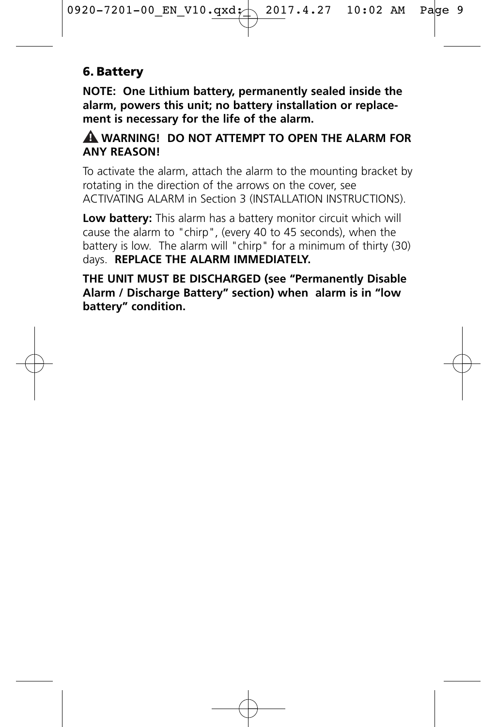#### 6. Battery

**NOTE: One Lithium battery, permanently sealed inside the alarm, powers this unit; no battery installation or replacement is necessary for the life of the alarm.**

#### **WARNING! DO NOT ATTEMPT TO OPEN THE ALARM FOR ! ANY REASON!**

To activate the alarm, attach the alarm to the mounting bracket by rotating in the direction of the arrows on the cover, see ACTIVATING ALARM in Section 3 (INSTALLATION INSTRUCTIONS).

**Low battery:** This alarm has a battery monitor circuit which will cause the alarm to "chirp", (every 40 to 45 seconds), when the battery is low. The alarm will "chirp" for a minimum of thirty (30) days. **REPLACE THE ALARM IMMEDIATELY.** 

**THE UNIT MUST BE DISCHARGED (see "Permanently Disable Alarm / Discharge Battery" section) when alarm is in "low battery" condition.**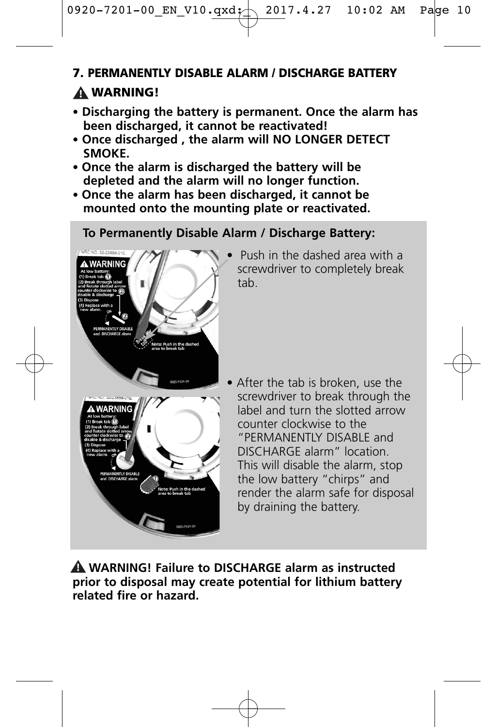#### 7. PERMANENTLY DISABLE ALARM / DISCHARGE BATTERY

# WARNING! **!**

- **Discharging the battery is permanent. Once the alarm has been discharged, it cannot be reactivated!**
- **• Once discharged , the alarm will NO LONGER DETECT SMOKE.**
- **Once the alarm is discharged the battery will be depleted and the alarm will no longer function.**
- **Once the alarm has been discharged, it cannot be mounted onto the mounting plate or reactivated.**

#### **To Permanently Disable Alarm / Discharge Battery:**



• Push in the dashed area with a screwdriver to completely break tab.

After the tab is broken, use the screwdriver to break through the label and turn the slotted arrow counter clockwise to the "PERMANENTLY DISABLE and DISCHARGE alarm" location. This will disable the alarm, stop the low battery "chirps" and render the alarm safe for disposal by draining the battery.

**WARNING! Failure to DISCHARGE alarm as instructed ! prior to disposal may create potential for lithium battery related fire or hazard.**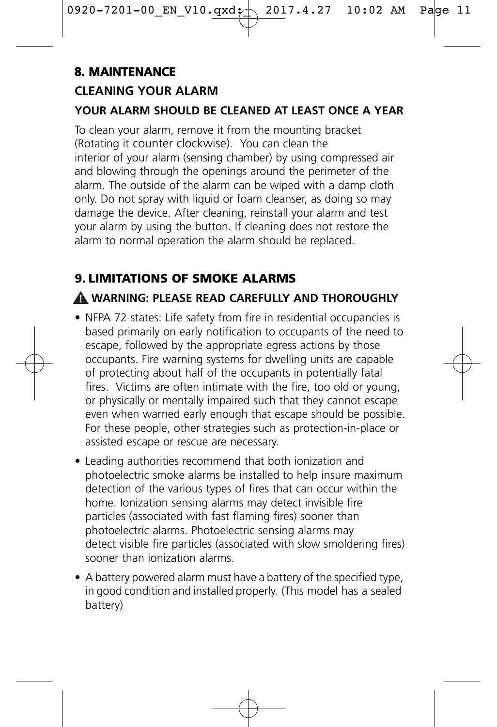# **8. MAINTENANCE**

### **CLEANING YOUR ALARM**

#### **YOUR ALARM SHOULD BE CLEANED AT LEAST ONCE A YEAR**

To clean your alarm, remove it from the mounting bracket (Rotating it counter clockwise). You can clean the interior of your alarm (sensing chamber) by using compressed air and blowing through the openings around the perimeter of the alarm. The outside of the alarm can be wiped with a damp cloth only. Do not spray with liquid or foam cleanser, as doing so may damage the device. After cleaning, reinstall your alarm and test your alarm by using the button. If cleaning does not restore the alarm to normal operation the alarm should be replaced.

# 9. LIMITATIONS OF SMOKE ALARMS

#### **WARNING: PLEASE READ CAREFULLY AND THOROUGHLY !**

- NFPA 72 states: Life safety from fire in residential occupancies is based primarily on early notification to occupants of the need to escape, followed by the appropriate egress actions by those occupants. Fire warning systems for dwelling units are capable of protecting about half of the occupants in potentially fatal fires. Victims are often intimate with the fire, too old or young, or physically or mentally impaired such that they cannot escape even when warned early enough that escape should be possible. For these people, other strategies such as protection-in-place or assisted escape or rescue are necessary.
- Leading authorities recommend that both ionization and photoelectric smoke alarms be installed to help insure maximum detection of the various types of fires that can occur within the home. Ionization sensing alarms may detect invisible fire particles (associated with fast flaming fires) sooner than photoelectric alarms. Photoelectric sensing alarms may detect visible fire particles (associated with slow smoldering fires) sooner than ionization alarms.
- A battery powered alarm must have a battery of the specified type, in good condition and installed properly. (This model has a sealed battery)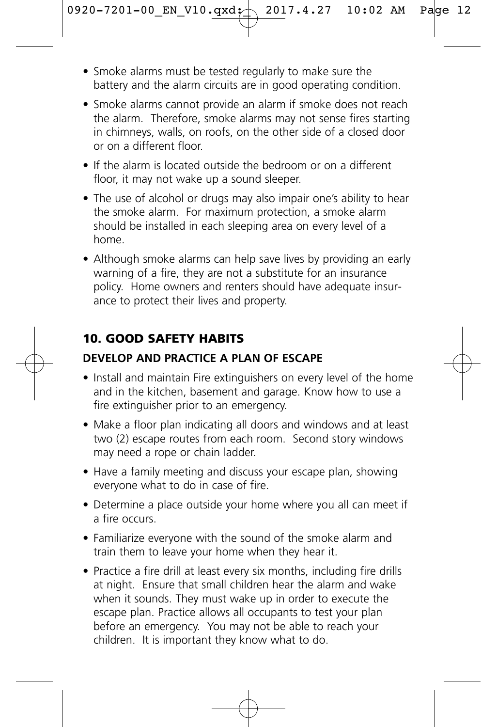- Smoke alarms must be tested regularly to make sure the battery and the alarm circuits are in good operating condition.
- Smoke alarms cannot provide an alarm if smoke does not reach the alarm. Therefore, smoke alarms may not sense fires starting in chimneys, walls, on roofs, on the other side of a closed door or on a different floor.
- If the alarm is located outside the bedroom or on a different floor, it may not wake up a sound sleeper.
- The use of alcohol or drugs may also impair one's ability to hear the smoke alarm. For maximum protection, a smoke alarm should be installed in each sleeping area on every level of a home.
- Although smoke alarms can help save lives by providing an early warning of a fire, they are not a substitute for an insurance policy. Home owners and renters should have adequate insurance to protect their lives and property.

#### 10. GOOD SAFETY HABITS

#### **DEVELOP AND PRACTICE A PLAN OF ESCAPE**

- Install and maintain Fire extinguishers on every level of the home and in the kitchen, basement and garage. Know how to use a fire extinguisher prior to an emergency.
- Make a floor plan indicating all doors and windows and at least two (2) escape routes from each room. Second story windows may need a rope or chain ladder.
- Have a family meeting and discuss your escape plan, showing everyone what to do in case of fire.
- Determine a place outside your home where you all can meet if a fire occurs.
- Familiarize everyone with the sound of the smoke alarm and train them to leave your home when they hear it.
- Practice a fire drill at least every six months, including fire drills at night. Ensure that small children hear the alarm and wake when it sounds. They must wake up in order to execute the escape plan. Practice allows all occupants to test your plan before an emergency. You may not be able to reach your children. It is important they know what to do.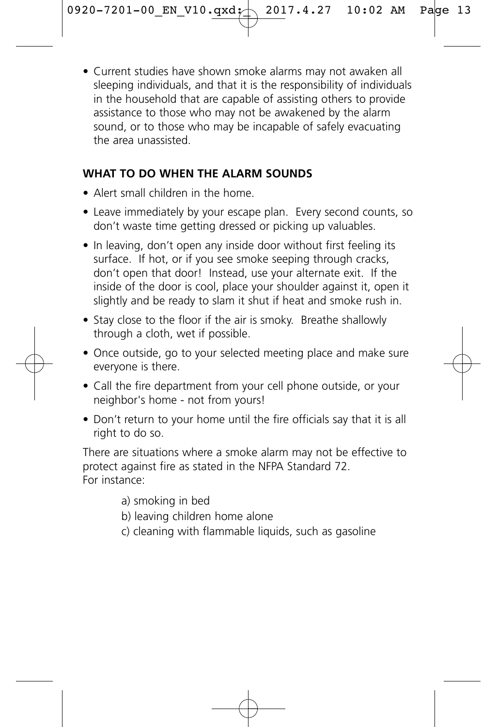• Current studies have shown smoke alarms may not awaken all sleeping individuals, and that it is the responsibility of individuals in the household that are capable of assisting others to provide assistance to those who may not be awakened by the alarm sound, or to those who may be incapable of safely evacuating the area unassisted.

#### **WHAT TO DO WHEN THE ALARM SOUNDS**

- Alert small children in the home.
- Leave immediately by your escape plan. Every second counts, so don't waste time getting dressed or picking up valuables.
- In leaving, don't open any inside door without first feeling its surface. If hot, or if you see smoke seeping through cracks, don't open that door! Instead, use your alternate exit. If the inside of the door is cool, place your shoulder against it, open it slightly and be ready to slam it shut if heat and smoke rush in.
- Stay close to the floor if the air is smoky. Breathe shallowly through a cloth, wet if possible.
- Once outside, go to your selected meeting place and make sure everyone is there.
- Call the fire department from your cell phone outside, or your neighbor's home - not from yours!
- Don't return to your home until the fire officials say that it is all right to do so.

There are situations where a smoke alarm may not be effective to protect against fire as stated in the NFPA Standard 72. For instance:

- a) smoking in bed
- b) leaving children home alone
- c) cleaning with flammable liquids, such as gasoline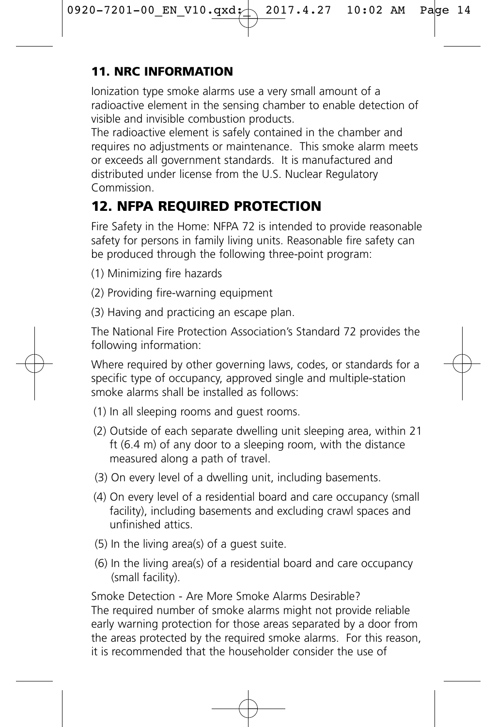# 11. NRC INFORMATION

Ionization type smoke alarms use a very small amount of a radioactive element in the sensing chamber to enable detection of visible and invisible combustion products.

The radioactive element is safely contained in the chamber and requires no adjustments or maintenance. This smoke alarm meets or exceeds all government standards. It is manufactured and distributed under license from the U.S. Nuclear Regulatory Commission.

# 12. NFPA REQUIRED PROTECTION

Fire Safety in the Home: NFPA 72 is intended to provide reasonable safety for persons in family living units. Reasonable fire safety can be produced through the following three-point program:

- (1) Minimizing fire hazards
- (2) Providing fire-warning equipment
- (3) Having and practicing an escape plan.

The National Fire Protection Association's Standard 72 provides the following information:

Where required by other governing laws, codes, or standards for a specific type of occupancy, approved single and multiple-station smoke alarms shall be installed as follows:

- (1) In all sleeping rooms and guest rooms.
- (2) Outside of each separate dwelling unit sleeping area, within 21 ft (6.4 m) of any door to a sleeping room, with the distance measured along a path of travel.
- (3) On every level of a dwelling unit, including basements.
- (4) On every level of a residential board and care occupancy (small facility), including basements and excluding crawl spaces and unfinished attics.
- (5) In the living area(s) of a guest suite.
- (6) In the living area(s) of a residential board and care occupancy (small facility).

Smoke Detection - Are More Smoke Alarms Desirable? The required number of smoke alarms might not provide reliable early warning protection for those areas separated by a door from the areas protected by the required smoke alarms. For this reason, it is recommended that the householder consider the use of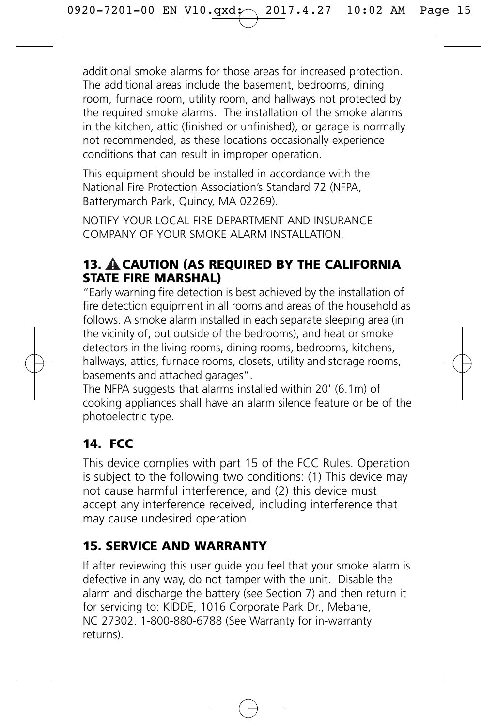additional smoke alarms for those areas for increased protection. The additional areas include the basement, bedrooms, dining room, furnace room, utility room, and hallways not protected by the required smoke alarms. The installation of the smoke alarms in the kitchen, attic (finished or unfinished), or garage is normally not recommended, as these locations occasionally experience conditions that can result in improper operation.

This equipment should be installed in accordance with the National Fire Protection Association's Standard 72 (NFPA, Batterymarch Park, Quincy, MA 02269).

NOTIFY YOUR LOCAL FIRE DEPARTMENT AND INSURANCE COMPANY OF YOUR SMOKE ALARM INSTALLATION.

#### 13. A CAUTION (AS REQUIRED BY THE CALIFORNIA STATE FIRE MARSHAL)

"Early warning fire detection is best achieved by the installation of fire detection equipment in all rooms and areas of the household as follows. A smoke alarm installed in each separate sleeping area (in the vicinity of, but outside of the bedrooms), and heat or smoke detectors in the living rooms, dining rooms, bedrooms, kitchens, hallways, attics, furnace rooms, closets, utility and storage rooms, basements and attached garages".

The NFPA suggests that alarms installed within 20' (6.1m) of cooking appliances shall have an alarm silence feature or be of the photoelectric type.

# 14. FCC

This device complies with part 15 of the FCC Rules. Operation is subject to the following two conditions: (1) This device may not cause harmful interference, and (2) this device must accept any interference received, including interference that may cause undesired operation.

# 15. SERVICE AND WARRANTY

If after reviewing this user guide you feel that your smoke alarm is defective in any way, do not tamper with the unit. Disable the alarm and discharge the battery (see Section 7) and then return it for servicing to: KIDDE, 1016 Corporate Park Dr., Mebane, NC 27302. 1-800-880-6788 (See Warranty for in-warranty returns).